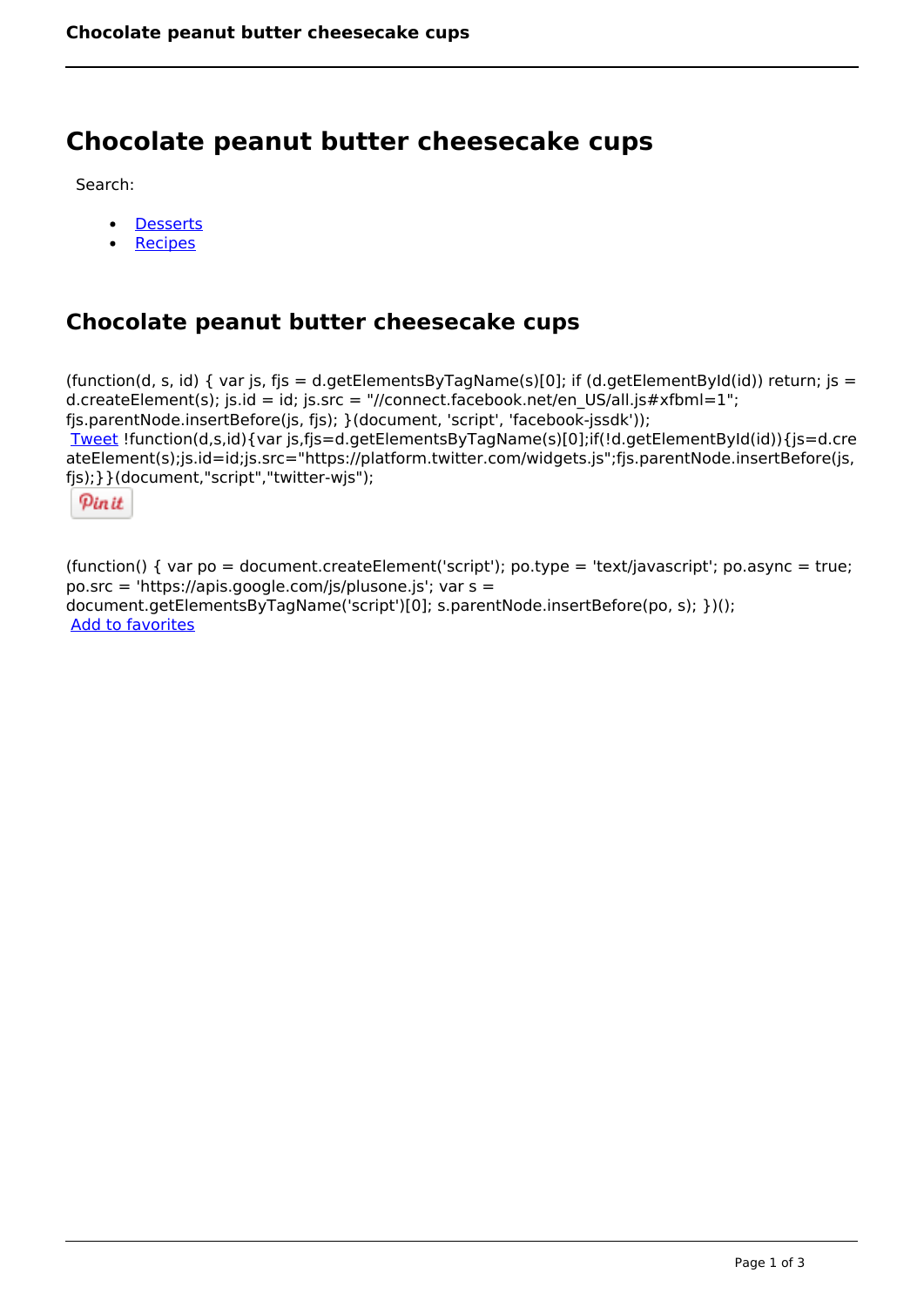# **Chocolate peanut butter cheesecake cups**

Search:

- **[Desserts](https://www.naturalhealthmag.com.au/nourish/desserts)**  $\bullet$
- [Recipes](https://www.naturalhealthmag.com.au/nourish/recipes)

## **Chocolate peanut butter cheesecake cups**

(function(d, s, id) { var js, fjs = d.getElementsByTagName(s)[0]; if (d.getElementById(id)) return; js = d.createElement(s); js.id = id; js.src = "//connect.facebook.net/en\_US/all.js#xfbml=1"; fjs.parentNode.insertBefore(js, fjs); }(document, 'script', 'facebook-jssdk')); [Tweet](https://twitter.com/share) !function(d,s,id){var js,fjs=d.getElementsByTagName(s)[0];if(!d.getElementById(id)){js=d.cre ateElement(s);js.id=id;js.src="https://platform.twitter.com/widgets.js";fjs.parentNode.insertBefore(js, fjs);}}(document,"script","twitter-wjs");

Pinit

(function() { var po = document.createElement('script'); po.type = 'text/javascript'; po.async = true; po.src = 'https://apis.google.com/js/plusone.js'; var s = document.getElementsByTagName('script')[0]; s.parentNode.insertBefore(po, s); })(); Add to favorites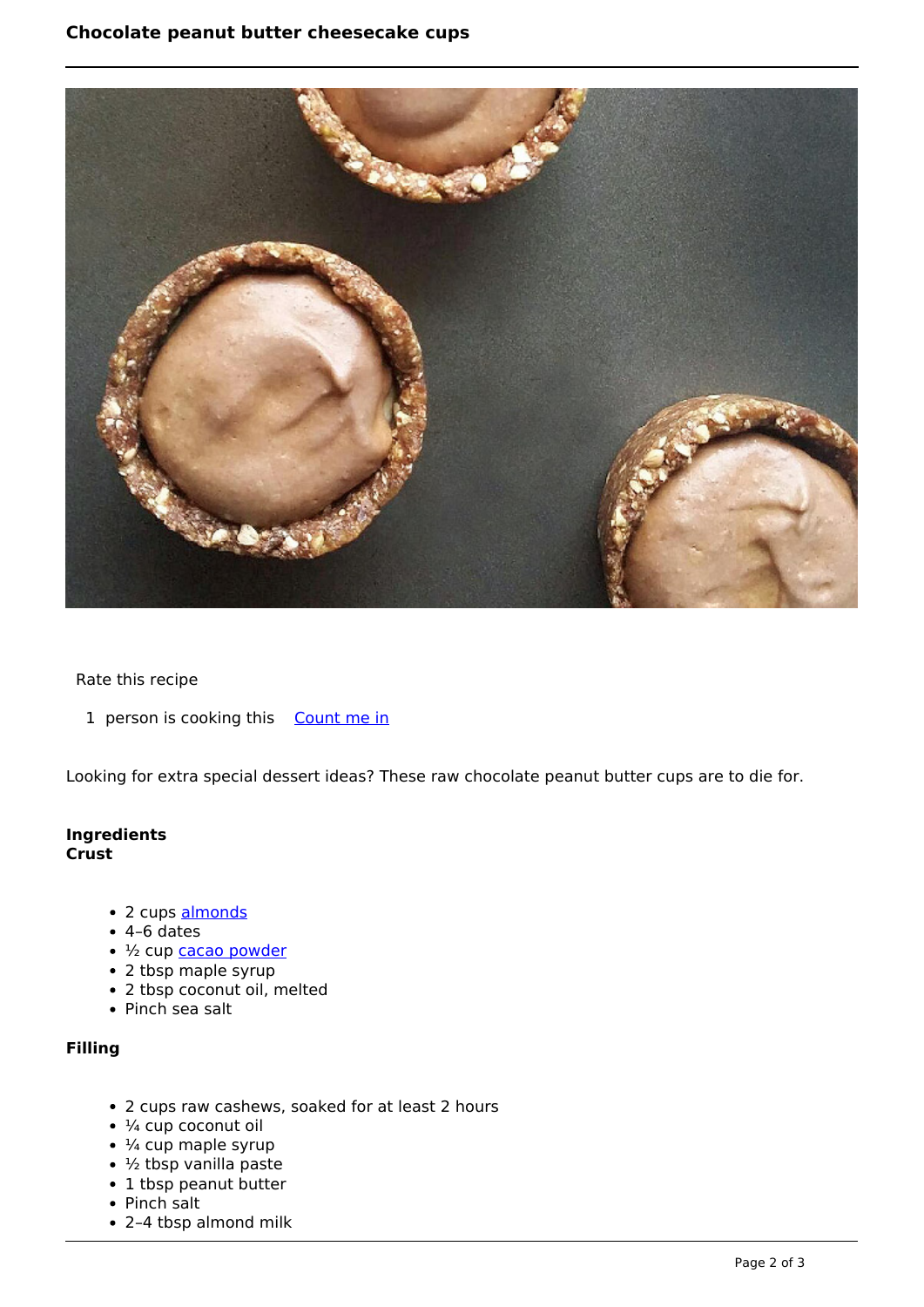

#### Rate this recipe

1 person is cooking this [Count me in](https://www.naturalhealthmag.com.au/flag/flag/favorites/1790?destination=printpdf%2F1790&token=2bcad1bc8e55d563b83f170e31e2a4ba)

Looking for extra special dessert ideas? These raw chocolate peanut butter cups are to die for.

#### **Ingredients Crust**

- 2 cups [almonds](http://www.naturalhealthmag.com.au/nourish/strawberry-and-chocolate-mousse-tartlets-made-with-cacao)
- $\cdot$  4–6 dates
- 1/2 cup [cacao powder](http://www.naturalhealthmag.com.au/nourish/raw-chocolate-crunch)
- 2 tbsp maple syrup
- 2 tbsp coconut oil, melted
- Pinch sea salt

### **Filling**

- 2 cups raw cashews, soaked for at least 2 hours
- $\cdot$  ¼ cup coconut oil
- $\cdot$   $\frac{1}{4}$  cup maple syrup
- $\cdot$  ½ tbsp vanilla paste
- 1 tbsp peanut butter
- Pinch salt
- 2–4 tbsp almond milk